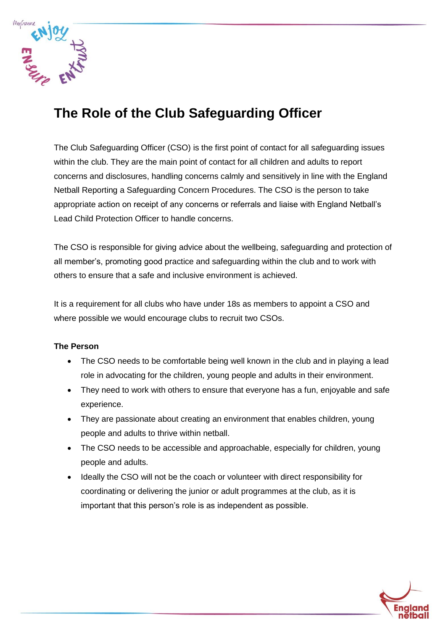

# **The Role of the Club Safeguarding Officer**

The Club Safeguarding Officer (CSO) is the first point of contact for all safeguarding issues within the club. They are the main point of contact for all children and adults to report concerns and disclosures, handling concerns calmly and sensitively in line with the England Netball Reporting a Safeguarding Concern Procedures. The CSO is the person to take appropriate action on receipt of any concerns or referrals and liaise with England Netball's Lead Child Protection Officer to handle concerns.

The CSO is responsible for giving advice about the wellbeing, safeguarding and protection of all member's, promoting good practice and safeguarding within the club and to work with others to ensure that a safe and inclusive environment is achieved.

It is a requirement for all clubs who have under 18s as members to appoint a CSO and where possible we would encourage clubs to recruit two CSOs.

## **The Person**

- The CSO needs to be comfortable being well known in the club and in playing a lead role in advocating for the children, young people and adults in their environment.
- They need to work with others to ensure that everyone has a fun, enjoyable and safe experience.
- They are passionate about creating an environment that enables children, young people and adults to thrive within netball.
- The CSO needs to be accessible and approachable, especially for children, young people and adults.
- Ideally the CSO will not be the coach or volunteer with direct responsibility for coordinating or delivering the junior or adult programmes at the club, as it is important that this person's role is as independent as possible.

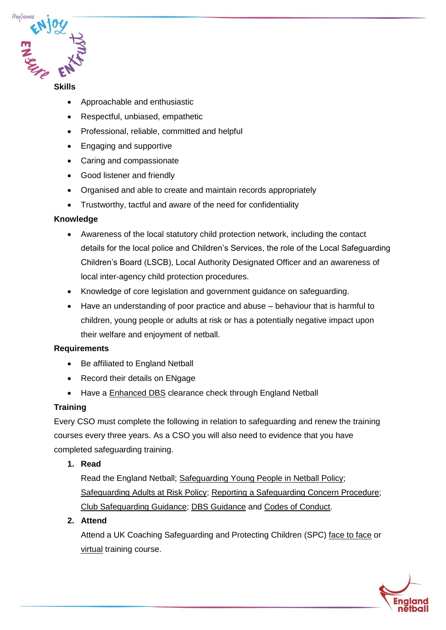

#### **Skills**

- Approachable and enthusiastic
- Respectful, unbiased, empathetic
- Professional, reliable, committed and helpful
- Engaging and supportive
- Caring and compassionate
- Good listener and friendly
- Organised and able to create and maintain records appropriately
- Trustworthy, tactful and aware of the need for confidentiality

#### **Knowledge**

- Awareness of the local statutory child protection network, including the contact details for the local police and Children's Services, the role of the Local Safeguarding Children's Board (LSCB), Local Authority Designated Officer and an awareness of local inter-agency child protection procedures.
- Knowledge of core legislation and government guidance on safeguarding.
- Have an understanding of poor practice and abuse behaviour that is harmful to children, young people or adults at risk or has a potentially negative impact upon their welfare and enjoyment of netball.

#### **Requirements**

- Be affiliated to England Netball
- Record their details on ENgage
- Have a **Enhanced DBS** clearance check through England Netball

#### **Training**

Every CSO must complete the following in relation to safeguarding and renew the training courses every three years. As a CSO you will also need to evidence that you have completed safeguarding training.

**1. Read** 

Read the England Netball; [Safeguarding Young People in Netball Policy;](https://www.englandnetball.co.uk/governance/safeguarding/safeguarding-policies/) [Safeguarding Adults at Risk Policy;](https://www.englandnetball.co.uk/governance/safeguarding/adults-at-risk/) [Reporting a Safeguarding Concern Procedure;](https://www.englandnetball.co.uk/governance/safeguarding/reporting-a-safeguarding-concern/) [Club Safeguarding Guidance;](https://www.englandnetball.co.uk/governance/safeguarding/club-safeguarding/) [DBS Guidance](https://www.englandnetball.co.uk/governance/safeguarding/dbs/) and [Codes of Conduct.](https://www.englandnetball.co.uk/governance/enjoy-ensure-entrust/enjoy-codes-of-conduct-disciplinary-regulations/)

**2. Attend** 

Attend a UK Coaching Safeguarding and Protecting Children (SPC) [face to face](https://www.ukcoaching.org/courses/search?courseid=885&distance=25&order=relevant&bookableonly=false) or [virtual](https://www.ukcoaching.org/courses/workshops/safeguarding-protecting-children-online-classroom) training course.

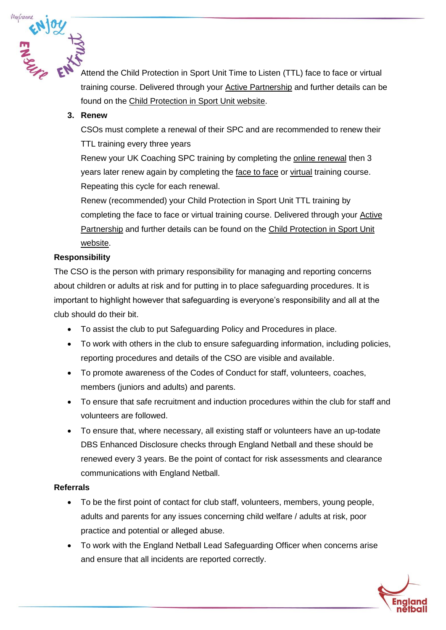

training course. Delivered through your [Active Partnership](https://www.activepartnerships.org/) and further details can be found on the [Child Protection in Sport Unit website.](https://thecpsu.org.uk/training-events/specialist-safeguarding-training/#heading-top)

## **3. Renew**

CSOs must complete a renewal of their SPC and are recommended to renew their TTL training every three years

Renew your UK Coaching SPC training by completing the [online renewal](https://www.ukcoaching.org/courses/learn-at-home/sgp) then 3 years later renew again by completing the [face to face](https://www.ukcoaching.org/courses/search?courseid=885&distance=25&order=relevant&bookableonly=false) or [virtual](https://www.ukcoaching.org/courses/workshops/safeguarding-protecting-children-online-classroom) training course. Repeating this cycle for each renewal.

Renew (recommended) your Child Protection in Sport Unit TTL training by completing the face to face or virtual training course. Delivered through your [Active](https://www.activepartnerships.org/)  [Partnership](https://www.activepartnerships.org/) and further details can be found on the [Child Protection in Sport Unit](https://thecpsu.org.uk/training-events/specialist-safeguarding-training/#heading-top)  [website.](https://thecpsu.org.uk/training-events/specialist-safeguarding-training/#heading-top)

# **Responsibility**

The CSO is the person with primary responsibility for managing and reporting concerns about children or adults at risk and for putting in to place safeguarding procedures. It is important to highlight however that safeguarding is everyone's responsibility and all at the club should do their bit.

- To assist the club to put Safeguarding Policy and Procedures in place.
- To work with others in the club to ensure safeguarding information, including policies, reporting procedures and details of the CSO are visible and available.
- To promote awareness of the Codes of Conduct for staff, volunteers, coaches, members (juniors and adults) and parents.
- To ensure that safe recruitment and induction procedures within the club for staff and volunteers are followed.
- To ensure that, where necessary, all existing staff or volunteers have an up-todate DBS Enhanced Disclosure checks through England Netball and these should be renewed every 3 years. Be the point of contact for risk assessments and clearance communications with England Netball.

## **Referrals**

- To be the first point of contact for club staff, volunteers, members, young people, adults and parents for any issues concerning child welfare / adults at risk, poor practice and potential or alleged abuse.
- To work with the England Netball Lead Safeguarding Officer when concerns arise and ensure that all incidents are reported correctly.